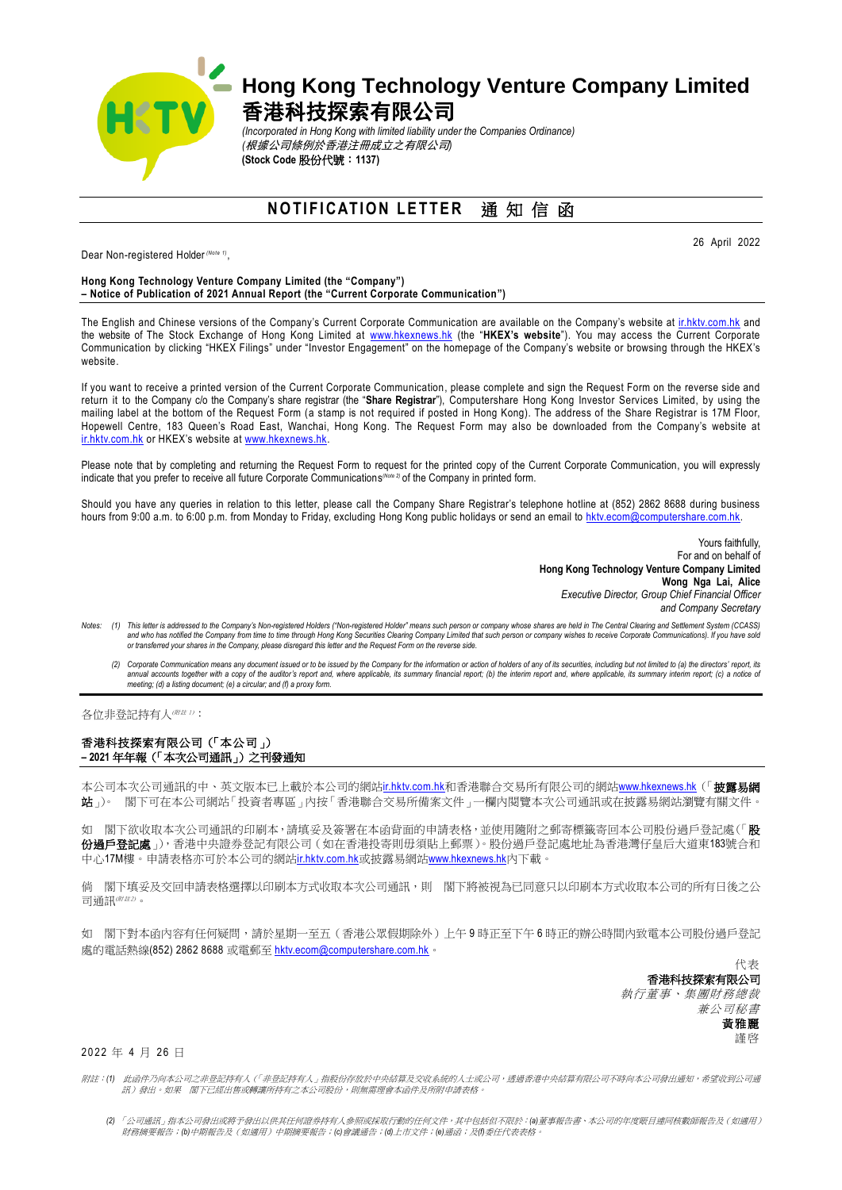

## **Hong Kong Technology Venture Company Limited** 香港科技探索有限公司

*(Incorporated in Hong Kong with limited liability under the Companies Ordinance) (*根據公司條例於香港注冊成立之有限公司*)* **(Stock Code** 股份代號:**1137)**

**NOTIFICATION LETTER** 通知信函

Dear Non-registered Holder *(Note 1)* ,

26 April 2022

## **Hong Kong Technology Venture Company Limited (the "Company") – Notice of Publication of 2021 Annual Report (the "Current Corporate Communication")**

The English and Chinese versions of the Company's Current Corporate Communication are available on the Company's website a[t ir.hktv.com.hk](http://ir.hktv.com.hk/) and the website of The Stock Exchange of Hong Kong Limited at [www.hkexnews.hk](http://www.hkexnews.hk/) (the "**HKEX's website**"). You may access the Current Corporate Communication by clicking "HKEX Filings" under "Investor Engagement" on the homepage of the Company's website or browsing through the HKEX's website.

If you want to receive a printed version of the Current Corporate Communication, please complete and sign the Request Form on the reverse side and return it to the Company c/o the Company's share registrar (the "**Share Registrar**"), Computershare Hong Kong Investor Services Limited, by using the mailing label at the bottom of the Request Form (a stamp is not required if posted in Hong Kong). The address of the Share Registrar is 17M Floor, Hopewell Centre, 183 Queen's Road East, Wanchai, Hong Kong. The Request Form may also be downloaded from the Company's website at [ir.hktv.com.hk](http://ir.hktv.com.hk/) or HKEX's website at [www.hkexnews.hk.](http://www.hkexnews.hk/)

Please note that by completing and returning the Request Form to request for the printed copy of the Current Corporate Communication, you will expressly indicate that you prefer to receive all future Corporate Communications *(Note 2)* of the Company in printed form.

Should you have any queries in relation to this letter, please call the Company Share Registrar's telephone hotline at (852) 2862 8688 during business hours from 9:00 a.m. to 6:00 p.m. from Monday to Friday, excluding Hong Kong public holidays or send an email t[o hktv.ecom@computershare.com.hk.](mailto:hktv.ecom@computershare.com.hk)

> Yours faithfully, For and on behalf of **Hong Kong Technology Venture Company Limited Wong Nga Lai, Alice** *Executive Director, Group Chief Financial Officer and Company Secretary*

- Notes: (1) This letter is addressed to the Company's Non-registered Holders ("Non-registered Holders ("Non-registered Holders" means such person or company whose shares are held in The Central Clearing and Settlement Syste *or transferred your shares in the Company, please disregard this letter and the Request Form on the reverse side.*
	- (2) Corporate Communication means any document issued or to be issued by the Company for the information or action of holders of any of its securities, including but not limited to (a) the directors' report, its susued by *meeting; (d) a listing document; (e) a circular; and (f) a proxy form.*

各位非登記持有人(###):

## 香港科技探索有限公司(「本公司」) **– 2021** 年年報(「本次公司通訊」)之刊發通知

本公司本次公司通訊的中、英文版本已上載於本公司的網站i<u>r.hktv.com.hk</u>和香港聯合交易所有限公司的網站[www.hkexnews.hk](http://www.hkexnews.hk/)(「**披露易網** 站」)。 閣下可在本公司網站「投資者專區」內按「香港聯合交易所備案文件」一欄內閱覽本次公司通訊或在披露易網站瀏覽有關文件。

如 閣下欲收取本次公司通訊的印刷本,請填妥及簽署在本函背面的申請表格,並使用隨附之郵寄標籤寄回本公司股份過戶登記處(「股 份過戶登記處」),香港中央證券登記有限公司(如在香港投寄則毋須貼上郵票)。股份過戶登記處地址為香港灣仔皇后大道東183號合和 中心17M樓。申請表格亦可於本公司的網站[ir.hktv.com.hk](http://ir.hktv.com.hk/)或披露易網站[www.hkexnews.hk](http://www.hkexnews.hk/)内下載。

倘 閣下填妥及交回申請表格選擇以印刷本方式收取本次公司通訊,則 閣下將被視為已同意只以印刷本方式收取本公司的所有日後之公 司通訊(<sup>附註2)</sup>。

如 閣下對本函內容有任何疑問,請於星期一至五(香港公眾假期除外)上午9時正至下午6時正的辦公時間內致電本公司股份過戶登記 處的電話熱線(852) 2862 8688 或電郵至 [hktv.ecom@computershare.com.hk](mailto:hktv.ecom@computershare.com.hk)。

> 代表 香港科技探索有限公司 執行董事、集團財務總裁 兼公司秘書 黃雅麗 謹啓

2022 年 4 月 26 日

附註:*(1)* 此函件乃向本公司之非登記持有人(「非登記持有人」指股份存放於中央結算及交收系統的人士或公司,透過香港中央結算有限公司不時向本公司發出通知,希望收到公司通 訊)發出。如果 閣下已經出售或轉讓所持有之本公司股份,則無需理會本函件及所附申請表格。

*<sup>(2)</sup>* 「公司通訊」指本公司發出或將予發出以供其任何證券持有人參照或採取行動的任何文件,其中包括但不限於:*(a)*董事報告書、本公司的年度賬目連同核數師報告及(如適用) 財務摘要報告;*(b)*中期報告及(如適用)中期摘要報告;*(c)*會議通告;*(d)*上市文件;*(e)*通函;及*(f)*委任代表表格。